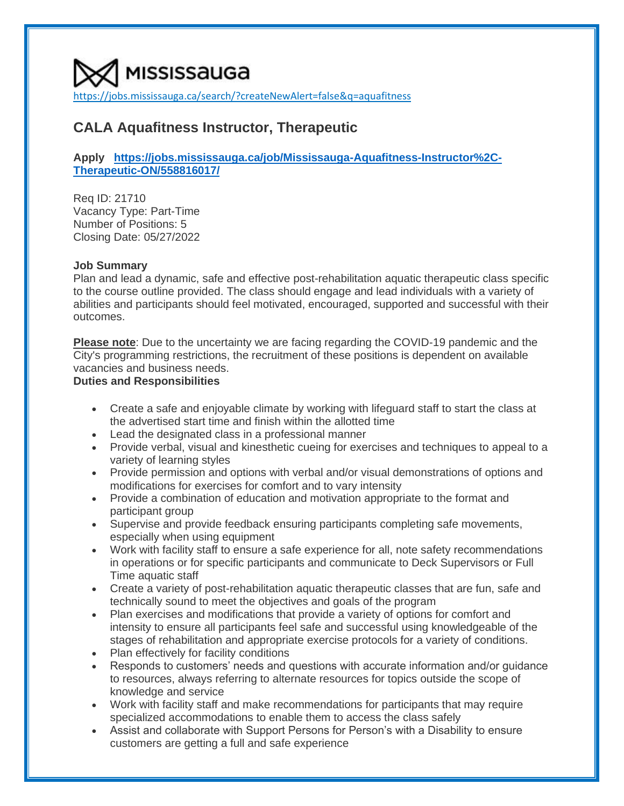[https://jobs.mississauga.ca/search/?createNewAlert=false&q=aquafitness](https://www.google.com/url?q=https%3A%2F%2Fjobs.mississauga.ca%2Fsearch%2F%3FcreateNewAlert%3Dfalse%26q%3Daquafitness&sa=D&sntz=1&usg=AOvVaw3JQQBoshypohbETbch2CNk)

# **CALA Aquafitness Instructor, Therapeutic**

# **Apply [https://jobs.mississauga.ca/job/Mississauga-Aquafitness-Instructor%2C-](https://jobs.mississauga.ca/job/Mississauga-Aquafitness-Instructor%2C-Therapeutic-ON/558816017/)[Therapeutic-ON/558816017/](https://jobs.mississauga.ca/job/Mississauga-Aquafitness-Instructor%2C-Therapeutic-ON/558816017/)**

Req ID: 21710 Vacancy Type: Part-Time Number of Positions: 5 Closing Date: 05/27/2022

### **Job Summary**

Plan and lead a dynamic, safe and effective post-rehabilitation aquatic therapeutic class specific to the course outline provided. The class should engage and lead individuals with a variety of abilities and participants should feel motivated, encouraged, supported and successful with their outcomes.

**Please note**: Due to the uncertainty we are facing regarding the COVID-19 pandemic and the City's programming restrictions, the recruitment of these positions is dependent on available vacancies and business needs.

# **Duties and Responsibilities**

- Create a safe and enjoyable climate by working with lifeguard staff to start the class at the advertised start time and finish within the allotted time
- Lead the designated class in a professional manner
- Provide verbal, visual and kinesthetic cueing for exercises and techniques to appeal to a variety of learning styles
- Provide permission and options with verbal and/or visual demonstrations of options and modifications for exercises for comfort and to vary intensity
- Provide a combination of education and motivation appropriate to the format and participant group
- Supervise and provide feedback ensuring participants completing safe movements, especially when using equipment
- Work with facility staff to ensure a safe experience for all, note safety recommendations in operations or for specific participants and communicate to Deck Supervisors or Full Time aquatic staff
- Create a variety of post-rehabilitation aquatic therapeutic classes that are fun, safe and technically sound to meet the objectives and goals of the program
- Plan exercises and modifications that provide a variety of options for comfort and intensity to ensure all participants feel safe and successful using knowledgeable of the stages of rehabilitation and appropriate exercise protocols for a variety of conditions.
- Plan effectively for facility conditions
- Responds to customers' needs and questions with accurate information and/or guidance to resources, always referring to alternate resources for topics outside the scope of knowledge and service
- Work with facility staff and make recommendations for participants that may require specialized accommodations to enable them to access the class safely
- Assist and collaborate with Support Persons for Person's with a Disability to ensure customers are getting a full and safe experience